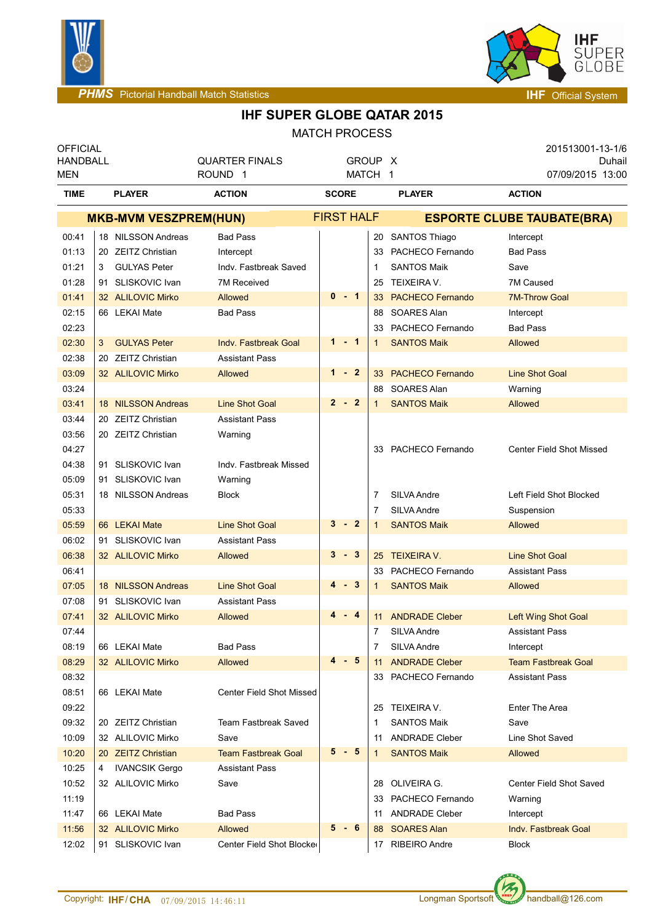



# **IHF SUPER GLOBE QATAR 2015**

| <b>MATCH PROCESS</b> |
|----------------------|
|----------------------|

| <b>OFFICIAL</b><br><b>HANDBALL</b><br>MEN |   |                                | <b>QUARTER FINALS</b><br>ROUND <sub>1</sub> | GROUP X<br>MATCH 1 |              |                                   | 201513001-13-1/6<br>Duhail<br>07/09/2015 13:00 |  |  |
|-------------------------------------------|---|--------------------------------|---------------------------------------------|--------------------|--------------|-----------------------------------|------------------------------------------------|--|--|
| <b>TIME</b>                               |   | <b>ACTION</b><br><b>PLAYER</b> |                                             | <b>SCORE</b>       |              | <b>PLAYER</b>                     | <b>ACTION</b>                                  |  |  |
|                                           |   | <b>MKB-MVM VESZPREM(HUN)</b>   |                                             | <b>FIRST HALF</b>  |              | <b>ESPORTE CLUBE TAUBATE(BRA)</b> |                                                |  |  |
| 00:41                                     |   | 18 NILSSON Andreas             | <b>Bad Pass</b>                             |                    |              | 20 SANTOS Thiago                  | Intercept                                      |  |  |
| 01:13                                     |   | 20 ZEITZ Christian             | Intercept                                   |                    |              | 33 PACHECO Fernando               | <b>Bad Pass</b>                                |  |  |
| 01:21                                     | 3 | <b>GULYAS Peter</b>            | Indv. Fastbreak Saved                       |                    | 1            | <b>SANTOS Maik</b>                | Save                                           |  |  |
| 01:28                                     |   | 91 SLISKOVIC Ivan              | <b>7M Received</b>                          |                    | 25           | TEIXEIRA V.                       | 7M Caused                                      |  |  |
| 01:41                                     |   | 32 ALILOVIC Mirko              | Allowed                                     | $0 - 1$            | 33           | <b>PACHECO Fernando</b>           | <b>7M-Throw Goal</b>                           |  |  |
| 02:15                                     |   | 66 LEKAI Mate                  | <b>Bad Pass</b>                             |                    | 88           | <b>SOARES Alan</b>                | Intercept                                      |  |  |
| 02:23                                     |   |                                |                                             |                    | 33           | PACHECO Fernando                  | <b>Bad Pass</b>                                |  |  |
| 02:30                                     | 3 | <b>GULYAS Peter</b>            | <b>Indv. Fastbreak Goal</b>                 | $1 - 1$            | $\mathbf{1}$ | <b>SANTOS Maik</b>                | Allowed                                        |  |  |
| 02:38                                     |   | 20 ZEITZ Christian             | <b>Assistant Pass</b>                       |                    |              |                                   |                                                |  |  |
| 03:09                                     |   | 32 ALILOVIC Mirko              | Allowed                                     | $1 - 2$            | 33           | <b>PACHECO Fernando</b>           | <b>Line Shot Goal</b>                          |  |  |
| 03:24                                     |   |                                |                                             |                    | 88           | SOARES Alan                       | Warning                                        |  |  |
| 03:41                                     |   | 18 NILSSON Andreas             | <b>Line Shot Goal</b>                       | $2 - 2$            | $\mathbf{1}$ | <b>SANTOS Maik</b>                | Allowed                                        |  |  |
| 03:44                                     |   | 20 ZEITZ Christian             | <b>Assistant Pass</b>                       |                    |              |                                   |                                                |  |  |
| 03:56                                     |   | 20 ZEITZ Christian             | Warning                                     |                    |              |                                   |                                                |  |  |
| 04:27                                     |   |                                |                                             |                    |              | 33 PACHECO Fernando               | <b>Center Field Shot Missed</b>                |  |  |
| 04:38                                     |   | 91 SLISKOVIC Ivan              | Indv. Fastbreak Missed                      |                    |              |                                   |                                                |  |  |
| 05:09                                     |   | 91 SLISKOVIC Ivan              | Warning                                     |                    |              |                                   |                                                |  |  |
| 05:31                                     |   | 18 NILSSON Andreas             | <b>Block</b>                                |                    | 7            | SILVA Andre                       | Left Field Shot Blocked                        |  |  |
| 05:33                                     |   |                                |                                             |                    | 7            | SILVA Andre                       | Suspension                                     |  |  |
| 05:59                                     |   | 66 LEKAI Mate                  | <b>Line Shot Goal</b>                       | $3 - 2$            | $\mathbf{1}$ | <b>SANTOS Maik</b>                | Allowed                                        |  |  |
| 06:02                                     |   | 91 SLISKOVIC Ivan              | <b>Assistant Pass</b>                       |                    |              |                                   |                                                |  |  |
| 06:38                                     |   | 32 ALILOVIC Mirko              | Allowed                                     | $3 - 3$            | 25           | <b>TEIXEIRA V.</b>                | <b>Line Shot Goal</b>                          |  |  |
| 06:41                                     |   |                                |                                             |                    | 33           | PACHECO Fernando                  | <b>Assistant Pass</b>                          |  |  |
| 07:05                                     |   | 18 NILSSON Andreas             | <b>Line Shot Goal</b>                       | $-3$<br>4          | 1            | <b>SANTOS Maik</b>                | Allowed                                        |  |  |
| 07:08                                     |   | 91 SLISKOVIC Ivan              | <b>Assistant Pass</b>                       |                    |              |                                   |                                                |  |  |
| 07:41                                     |   | 32 ALILOVIC Mirko              | Allowed                                     | 4<br>- 4           | 11           | <b>ANDRADE Cleber</b>             | Left Wing Shot Goal                            |  |  |
| 07:44                                     |   |                                |                                             |                    | 7            | SILVA Andre                       | <b>Assistant Pass</b>                          |  |  |
| 08:19                                     |   | 66 LEKAI Mate                  | <b>Bad Pass</b>                             |                    | 7            | SILVA Andre                       | Intercept                                      |  |  |
| 08:29                                     |   | 32 ALILOVIC Mirko              | Allowed                                     | - 5<br>4           | 11           | <b>ANDRADE Cleber</b>             | <b>Team Fastbreak Goal</b>                     |  |  |
| 08:32                                     |   |                                |                                             |                    |              | 33 PACHECO Fernando               | <b>Assistant Pass</b>                          |  |  |
| 08:51                                     |   | 66 LEKAI Mate                  | <b>Center Field Shot Missed</b>             |                    |              |                                   |                                                |  |  |
| 09:22                                     |   |                                |                                             |                    | 25           | TEIXEIRA V.                       | Enter The Area                                 |  |  |
| 09:32                                     |   | 20 ZEITZ Christian             | Team Fastbreak Saved                        |                    | 1            | <b>SANTOS Maik</b>                | Save                                           |  |  |
| 10:09                                     |   | 32 ALILOVIC Mirko              | Save                                        |                    | 11           | <b>ANDRADE Cleber</b>             | Line Shot Saved                                |  |  |
| 10:20                                     |   | 20 ZEITZ Christian             | <b>Team Fastbreak Goal</b>                  | $5 - 5$            | $\mathbf{1}$ | <b>SANTOS Maik</b>                | Allowed                                        |  |  |
| 10:25                                     | 4 | <b>IVANCSIK Gergo</b>          | <b>Assistant Pass</b>                       |                    |              |                                   |                                                |  |  |
| 10:52                                     |   | 32 ALILOVIC Mirko              | Save                                        |                    |              | 28 OLIVEIRA G.                    | Center Field Shot Saved                        |  |  |
| 11:19                                     |   |                                |                                             |                    |              | 33 PACHECO Fernando               | Warning                                        |  |  |
| 11:47                                     |   | 66 LEKAI Mate                  | <b>Bad Pass</b>                             |                    | 11           | <b>ANDRADE Cleber</b>             | Intercept                                      |  |  |
| 11:56                                     |   | 32 ALILOVIC Mirko              | Allowed                                     | - 6<br>5           | 88           | <b>SOARES Alan</b>                | Indv. Fastbreak Goal                           |  |  |
| 12:02                                     |   | 91 SLISKOVIC Ivan              | Center Field Shot Blocker                   |                    | 17           | RIBEIRO Andre                     | <b>Block</b>                                   |  |  |

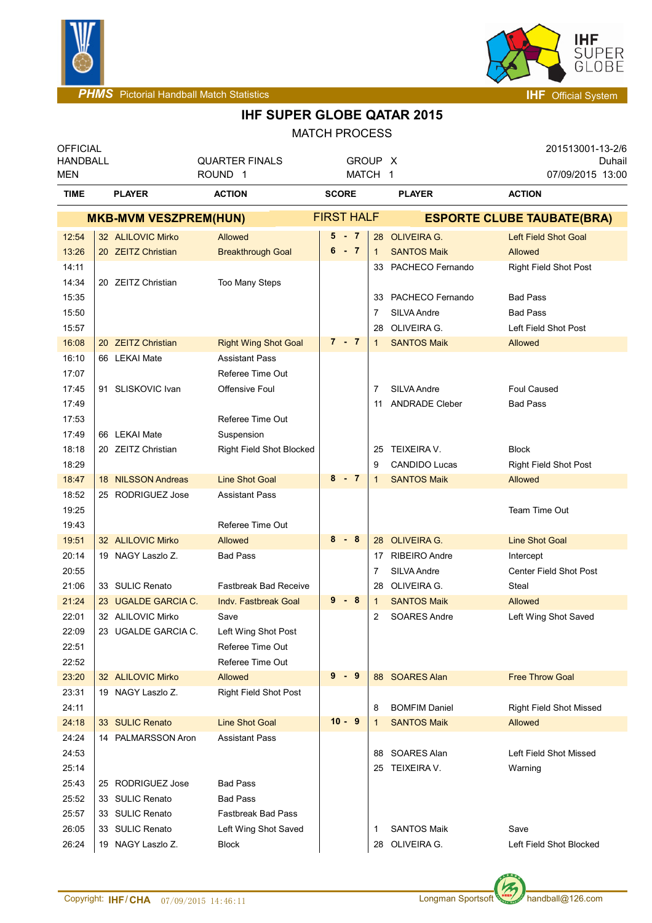



**PHMS** Pictorial Handball Match Statistics **Interval and American System IHF** Official System

#### **IHF SUPER GLOBE QATAR 2015**

MATCH PROCESS

| <b>OFFICIAL</b><br><b>HANDBALL</b><br><b>MEN</b> |                              |                                | <b>QUARTER FINALS</b><br>ROUND <sub>1</sub> |              | GROUP X<br>MATCH 1 |              |                                   | 201513001-13-2/6<br>07/09/2015 13:00 | Duhail |  |  |
|--------------------------------------------------|------------------------------|--------------------------------|---------------------------------------------|--------------|--------------------|--------------|-----------------------------------|--------------------------------------|--------|--|--|
| <b>TIME</b>                                      |                              | <b>ACTION</b><br><b>PLAYER</b> |                                             | <b>SCORE</b> |                    |              | <b>PLAYER</b>                     | <b>ACTION</b>                        |        |  |  |
|                                                  | <b>MKB-MVM VESZPREM(HUN)</b> |                                |                                             |              | <b>FIRST HALF</b>  |              | <b>ESPORTE CLUBE TAUBATE(BRA)</b> |                                      |        |  |  |
| 12:54                                            |                              | 32 ALILOVIC Mirko              | Allowed                                     |              | 5 - 7              |              | 28 OLIVEIRA G.                    | <b>Left Field Shot Goal</b>          |        |  |  |
| 13:26                                            |                              | 20 ZEITZ Christian             | <b>Breakthrough Goal</b>                    |              | $6 - 7$            | $\mathbf{1}$ | <b>SANTOS Maik</b>                | Allowed                              |        |  |  |
| 14:11                                            |                              |                                |                                             |              |                    |              | 33 PACHECO Fernando               | <b>Right Field Shot Post</b>         |        |  |  |
| 14:34                                            |                              | 20 ZEITZ Christian             | Too Many Steps                              |              |                    |              |                                   |                                      |        |  |  |
| 15:35                                            |                              |                                |                                             |              |                    |              | 33 PACHECO Fernando               | <b>Bad Pass</b>                      |        |  |  |
| 15:50                                            |                              |                                |                                             |              |                    | 7            | SILVA Andre                       | <b>Bad Pass</b>                      |        |  |  |
| 15:57                                            |                              |                                |                                             |              |                    | 28           | OLIVEIRA G.                       | Left Field Shot Post                 |        |  |  |
| 16:08                                            |                              | 20 ZEITZ Christian             | <b>Right Wing Shot Goal</b>                 |              | $7 - 7$            | 1            | <b>SANTOS Maik</b>                | Allowed                              |        |  |  |
| 16:10                                            |                              | 66 LEKAI Mate                  | <b>Assistant Pass</b>                       |              |                    |              |                                   |                                      |        |  |  |
| 17:07                                            |                              |                                | Referee Time Out                            |              |                    |              |                                   |                                      |        |  |  |
| 17:45                                            |                              | 91 SLISKOVIC Ivan              | <b>Offensive Foul</b>                       |              |                    | 7            | SILVA Andre                       | <b>Foul Caused</b>                   |        |  |  |
| 17:49                                            |                              |                                |                                             |              |                    | 11           | <b>ANDRADE Cleber</b>             | <b>Bad Pass</b>                      |        |  |  |
| 17:53                                            |                              |                                | Referee Time Out                            |              |                    |              |                                   |                                      |        |  |  |
| 17:49                                            |                              | 66 LEKAI Mate                  | Suspension                                  |              |                    |              |                                   |                                      |        |  |  |
| 18:18                                            |                              | 20 ZEITZ Christian             | Right Field Shot Blocked                    |              |                    | 25           | TEIXEIRA V.                       | <b>Block</b>                         |        |  |  |
| 18:29                                            |                              |                                |                                             |              |                    | 9            | <b>CANDIDO Lucas</b>              | <b>Right Field Shot Post</b>         |        |  |  |
| 18:47                                            |                              | 18 NILSSON Andreas             | <b>Line Shot Goal</b>                       | $8 - 7$      |                    | 1            | <b>SANTOS Maik</b>                | Allowed                              |        |  |  |
| 18:52                                            |                              | 25 RODRIGUEZ Jose              | <b>Assistant Pass</b>                       |              |                    |              |                                   |                                      |        |  |  |
| 19:25                                            |                              |                                |                                             |              |                    |              |                                   | Team Time Out                        |        |  |  |
| 19:43                                            |                              |                                | Referee Time Out                            |              |                    |              |                                   |                                      |        |  |  |
| 19:51                                            |                              | 32 ALILOVIC Mirko              | <b>Allowed</b>                              |              | $8 - 8$            |              | 28 OLIVEIRA G.                    | <b>Line Shot Goal</b>                |        |  |  |
| 20:14                                            |                              | 19 NAGY Laszlo Z.              | <b>Bad Pass</b>                             |              |                    | 17           | <b>RIBEIRO Andre</b>              | Intercept                            |        |  |  |
| 20:55                                            |                              |                                |                                             |              |                    | 7            | SILVA Andre                       | Center Field Shot Post               |        |  |  |
| 21:06                                            |                              | 33 SULIC Renato                | <b>Fastbreak Bad Receive</b>                |              |                    | 28           | OLIVEIRA G.                       | Steal                                |        |  |  |
| 21:24                                            |                              | 23 UGALDE GARCIA C.            | Indy. Fastbreak Goal                        |              | $9 - 8$            | 1            | <b>SANTOS Maik</b>                | Allowed                              |        |  |  |
| 22:01                                            |                              | 32 ALILOVIC Mirko              | Save                                        |              |                    | 2            | <b>SOARES Andre</b>               | Left Wing Shot Saved                 |        |  |  |
| 22:09                                            |                              | 23 UGALDE GARCIA C.            | Left Wing Shot Post                         |              |                    |              |                                   |                                      |        |  |  |
| 22:51                                            |                              |                                | Referee Time Out                            |              |                    |              |                                   |                                      |        |  |  |
| 22:52                                            |                              |                                | Referee Time Out                            |              |                    |              |                                   |                                      |        |  |  |
| 23:20                                            |                              | 32 ALILOVIC Mirko              | <b>Allowed</b>                              |              | $9 - 9$            |              | 88 SOARES Alan                    | <b>Free Throw Goal</b>               |        |  |  |
| 23:31                                            |                              | 19 NAGY Laszlo Z.              | <b>Right Field Shot Post</b>                |              |                    |              |                                   |                                      |        |  |  |
| 24:11                                            |                              |                                |                                             |              |                    | 8            | <b>BOMFIM Daniel</b>              | <b>Right Field Shot Missed</b>       |        |  |  |
| 24:18                                            |                              | 33 SULIC Renato                | <b>Line Shot Goal</b>                       |              | $10 - 9$           |              | <b>SANTOS Maik</b>                | Allowed                              |        |  |  |
| 24:24                                            |                              | 14 PALMARSSON Aron             | <b>Assistant Pass</b>                       |              |                    |              |                                   |                                      |        |  |  |
| 24:53                                            |                              |                                |                                             |              |                    |              | 88 SOARES Alan                    | Left Field Shot Missed               |        |  |  |
| 25:14                                            |                              |                                |                                             |              |                    |              | 25 TEIXEIRA V.                    | Warning                              |        |  |  |
| 25:43                                            |                              | 25 RODRIGUEZ Jose              | <b>Bad Pass</b>                             |              |                    |              |                                   |                                      |        |  |  |
| 25:52                                            |                              | 33 SULIC Renato                | <b>Bad Pass</b>                             |              |                    |              |                                   |                                      |        |  |  |
| 25:57                                            |                              | 33 SULIC Renato                | <b>Fastbreak Bad Pass</b>                   |              |                    |              |                                   |                                      |        |  |  |
| 26:05                                            |                              | 33 SULIC Renato                | Left Wing Shot Saved                        |              |                    | 1            | <b>SANTOS Maik</b>                | Save                                 |        |  |  |
| 26:24                                            |                              | 19 NAGY Laszlo Z.              | <b>Block</b>                                |              |                    | 28           | OLIVEIRA G.                       | Left Field Shot Blocked              |        |  |  |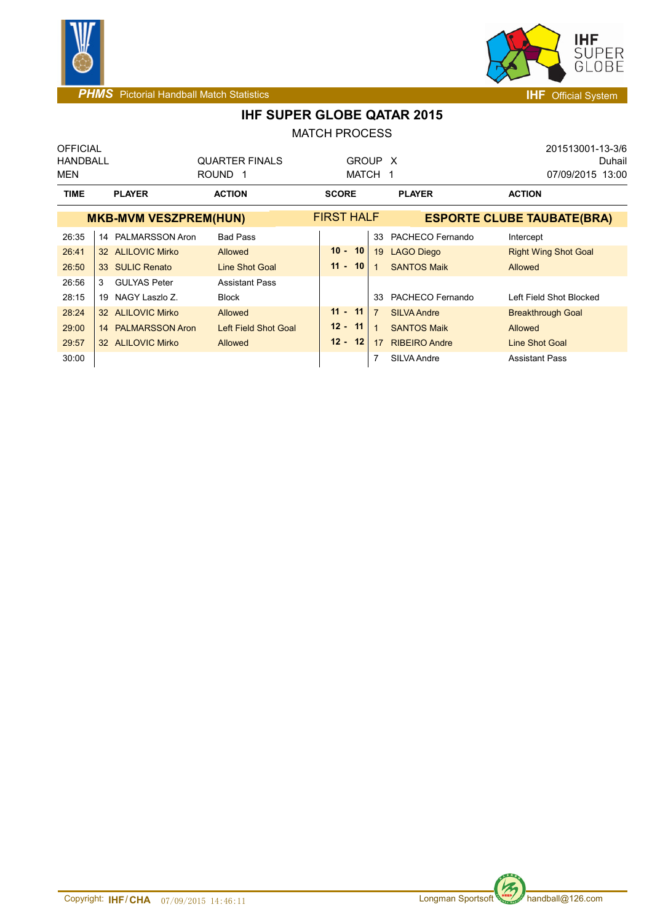



### **IHF SUPER GLOBE QATAR 2015**

MATCH PROCESS

| <b>OFFICIAL</b> |                                |                       |                   |                                      | 201513001-13-3/6                  |
|-----------------|--------------------------------|-----------------------|-------------------|--------------------------------------|-----------------------------------|
| <b>HANDBALL</b> |                                | <b>QUARTER FINALS</b> |                   | GROUP X                              | Duhail                            |
| MEN             |                                | ROUND 1               | MATCH             | - 1                                  | 07/09/2015 13:00                  |
| <b>TIME</b>     | <b>PLAYER</b><br><b>ACTION</b> |                       | <b>SCORE</b>      | <b>PLAYER</b>                        | <b>ACTION</b>                     |
|                 | <b>MKB-MVM VESZPREM(HUN)</b>   |                       | <b>FIRST HALF</b> |                                      | <b>ESPORTE CLUBE TAUBATE(BRA)</b> |
| 26:35           | 14 PALMARSSON Aron             | <b>Bad Pass</b>       |                   | PACHECO Fernando<br>33               | Intercept                         |
| 26:41           | 32 ALILOVIC Mirko              | Allowed               | 10<br>$10 -$      | 19<br><b>LAGO Diego</b>              | <b>Right Wing Shot Goal</b>       |
| 26:50           | 33 SULIC Renato                | Line Shot Goal        | $11 - 10$         | <b>SANTOS Maik</b>                   | Allowed                           |
| 26:56           | <b>GULYAS Peter</b><br>3       | <b>Assistant Pass</b> |                   |                                      |                                   |
| 28:15           | 19 NAGY Laszlo Z.              | <b>Block</b>          |                   | PACHECO Fernando<br>33               | Left Field Shot Blocked           |
| 28:24           | 32 ALILOVIC Mirko              | Allowed               | 11<br>$11 -$      | $\overline{7}$<br><b>SILVA Andre</b> | <b>Breakthrough Goal</b>          |
| 29:00           | 14 PALMARSSON Aron             | Left Field Shot Goal  | $12 - 11$         | <b>SANTOS Maik</b>                   | Allowed                           |
| 29:57           | 32 ALILOVIC Mirko              | Allowed               | $12 - 12$         | <b>RIBEIRO Andre</b><br>17           | <b>Line Shot Goal</b>             |
| 30:00           |                                |                       |                   | 7<br>SILVA Andre                     | <b>Assistant Pass</b>             |

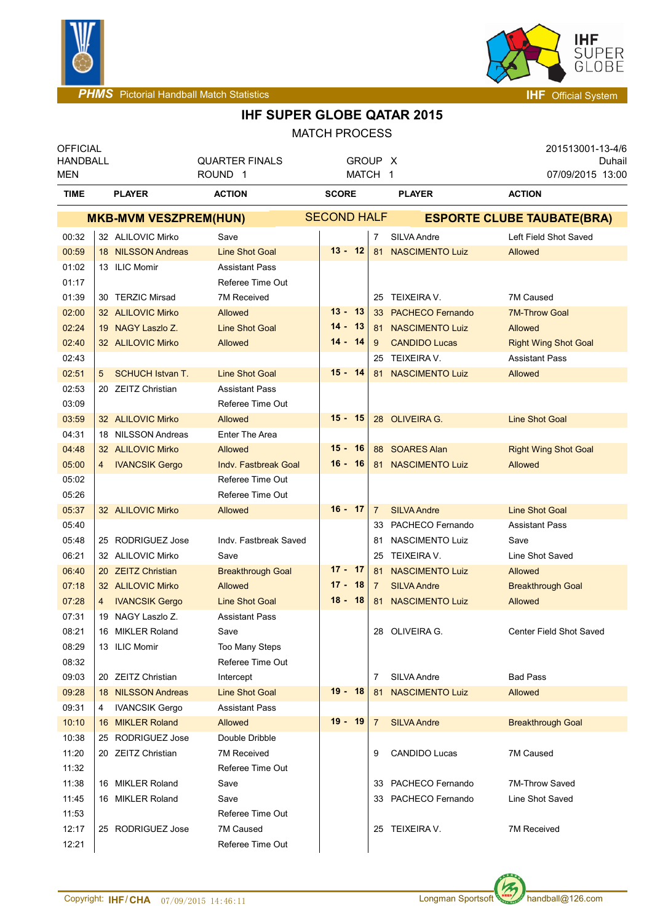



## **IHF SUPER GLOBE QATAR 2015**

| <b>MATCH PROCESS</b>         |   |                         |                             |                    |                |                        |                                   |  |  |
|------------------------------|---|-------------------------|-----------------------------|--------------------|----------------|------------------------|-----------------------------------|--|--|
| <b>OFFICIAL</b>              |   |                         |                             |                    |                |                        | 201513001-13-4/6                  |  |  |
| <b>HANDBALL</b>              |   |                         | <b>QUARTER FINALS</b>       | GROUP X            |                |                        | Duhail                            |  |  |
| <b>MEN</b>                   |   |                         | ROUND <sub>1</sub>          | MATCH 1            |                |                        | 07/09/2015 13:00                  |  |  |
| TIME                         |   | <b>PLAYER</b>           | <b>ACTION</b>               | <b>SCORE</b>       |                | <b>PLAYER</b>          | <b>ACTION</b>                     |  |  |
| <b>MKB-MVM VESZPREM(HUN)</b> |   |                         |                             | <b>SECOND HALF</b> |                |                        | <b>ESPORTE CLUBE TAUBATE(BRA)</b> |  |  |
| 00:32                        |   | 32 ALILOVIC Mirko       | Save                        |                    | 7              | SILVA Andre            | Left Field Shot Saved             |  |  |
| 00:59                        |   | 18 NILSSON Andreas      | <b>Line Shot Goal</b>       | $13 - 12$          | 81             | <b>NASCIMENTO Luiz</b> | Allowed                           |  |  |
| 01:02                        |   | 13 ILIC Momir           | <b>Assistant Pass</b>       |                    |                |                        |                                   |  |  |
| 01:17                        |   |                         | Referee Time Out            |                    |                |                        |                                   |  |  |
| 01:39                        |   | 30 TERZIC Mirsad        | 7M Received                 |                    | 25             | TEIXEIRA V.            | 7M Caused                         |  |  |
| 02:00                        |   | 32 ALILOVIC Mirko       | Allowed                     | $13 - 13$          |                | 33 PACHECO Fernando    | <b>7M-Throw Goal</b>              |  |  |
| 02:24                        |   | 19 NAGY Laszlo Z.       | <b>Line Shot Goal</b>       | $14 -$<br>13       |                | 81 NASCIMENTO Luiz     | Allowed                           |  |  |
| 02:40                        |   | 32 ALILOVIC Mirko       | Allowed                     | $14 - 14$          | 9              | <b>CANDIDO Lucas</b>   | <b>Right Wing Shot Goal</b>       |  |  |
| 02:43                        |   |                         |                             |                    | 25             | TEIXEIRA V.            | <b>Assistant Pass</b>             |  |  |
| 02:51                        | 5 | <b>SCHUCH Istvan T.</b> | <b>Line Shot Goal</b>       | $15 - 14$          | 81             | <b>NASCIMENTO Luiz</b> | Allowed                           |  |  |
| 02:53                        |   | 20 ZEITZ Christian      | <b>Assistant Pass</b>       |                    |                |                        |                                   |  |  |
| 03:09                        |   |                         | Referee Time Out            |                    |                |                        |                                   |  |  |
| 03:59                        |   | 32 ALILOVIC Mirko       | Allowed                     | $15 - 15$          |                | 28 OLIVEIRA G.         | <b>Line Shot Goal</b>             |  |  |
| 04:31                        |   | 18 NILSSON Andreas      | <b>Enter The Area</b>       |                    |                |                        |                                   |  |  |
| 04:48                        |   | 32 ALILOVIC Mirko       | Allowed                     | $15 - 16$          |                | 88 SOARES Alan         | <b>Right Wing Shot Goal</b>       |  |  |
| 05:00                        | 4 | <b>IVANCSIK Gergo</b>   | <b>Indv. Fastbreak Goal</b> | $16 - 16$          |                | 81 NASCIMENTO Luiz     | Allowed                           |  |  |
| 05:02                        |   |                         | Referee Time Out            |                    |                |                        |                                   |  |  |
| 05:26                        |   |                         | Referee Time Out            |                    |                |                        |                                   |  |  |
| 05:37                        |   | 32 ALILOVIC Mirko       | Allowed                     | $16 - 17$          | $\overline{7}$ | <b>SILVA Andre</b>     | <b>Line Shot Goal</b>             |  |  |
| 05:40                        |   |                         |                             |                    | 33             | PACHECO Fernando       | <b>Assistant Pass</b>             |  |  |
| 05:48                        |   | 25 RODRIGUEZ Jose       | Indy. Fastbreak Saved       |                    | 81             | <b>NASCIMENTO Luiz</b> | Save                              |  |  |
| 06:21                        |   | 32 ALILOVIC Mirko       | Save                        |                    | 25             | TEIXEIRA V.            | Line Shot Saved                   |  |  |
| 06:40                        |   | 20 ZEITZ Christian      | <b>Breakthrough Goal</b>    | $17 - 17$          | 81             | <b>NASCIMENTO Luiz</b> | Allowed                           |  |  |
| 07:18                        |   | 32 ALILOVIC Mirko       | <b>Allowed</b>              | $17 -$<br>-18      | 7              | <b>SILVA Andre</b>     | <b>Breakthrough Goal</b>          |  |  |
| 07:28                        | 4 | <b>IVANCSIK Gergo</b>   | <b>Line Shot Goal</b>       | $18 - 18$          | 81             | <b>NASCIMENTO Luiz</b> | Allowed                           |  |  |
| 07:31                        |   | 19 NAGY Laszlo Z.       | <b>Assistant Pass</b>       |                    |                |                        |                                   |  |  |
| 08:21                        |   | 16 MIKLER Roland        | Save                        |                    |                | 28 OLIVEIRA G.         | Center Field Shot Saved           |  |  |
| 08:29                        |   | 13 ILIC Momir           | Too Many Steps              |                    |                |                        |                                   |  |  |
| 08:32                        |   |                         | Referee Time Out            |                    |                |                        |                                   |  |  |
| 09:03                        |   | 20 ZEITZ Christian      | Intercept                   |                    | 7              | SILVA Andre            | <b>Bad Pass</b>                   |  |  |
| 09:28                        |   | 18 NILSSON Andreas      | <b>Line Shot Goal</b>       | $19 - 18$          | 81             | <b>NASCIMENTO Luiz</b> | Allowed                           |  |  |
| 09:31                        | 4 | <b>IVANCSIK Gergo</b>   | <b>Assistant Pass</b>       |                    |                |                        |                                   |  |  |
| 10:10                        |   | 16 MIKLER Roland        | Allowed                     | 19 - 19            | $\overline{7}$ | <b>SILVA Andre</b>     | <b>Breakthrough Goal</b>          |  |  |
|                              |   |                         | Double Dribble              |                    |                |                        |                                   |  |  |
| 10:38                        |   | 25 RODRIGUEZ Jose       |                             |                    |                |                        |                                   |  |  |
| 11:20                        |   | 20 ZEITZ Christian      | 7M Received                 |                    | 9              | <b>CANDIDO Lucas</b>   | 7M Caused                         |  |  |
| 11:32                        |   |                         | Referee Time Out            |                    |                |                        |                                   |  |  |
| 11:38                        |   | 16 MIKLER Roland        | Save                        |                    | 33             | PACHECO Fernando       | 7M-Throw Saved                    |  |  |
| 11:45                        |   | 16 MIKLER Roland        | Save                        |                    |                | 33 PACHECO Fernando    | Line Shot Saved                   |  |  |
| 11:53                        |   |                         | Referee Time Out            |                    |                |                        |                                   |  |  |



12:21 Referee Time Out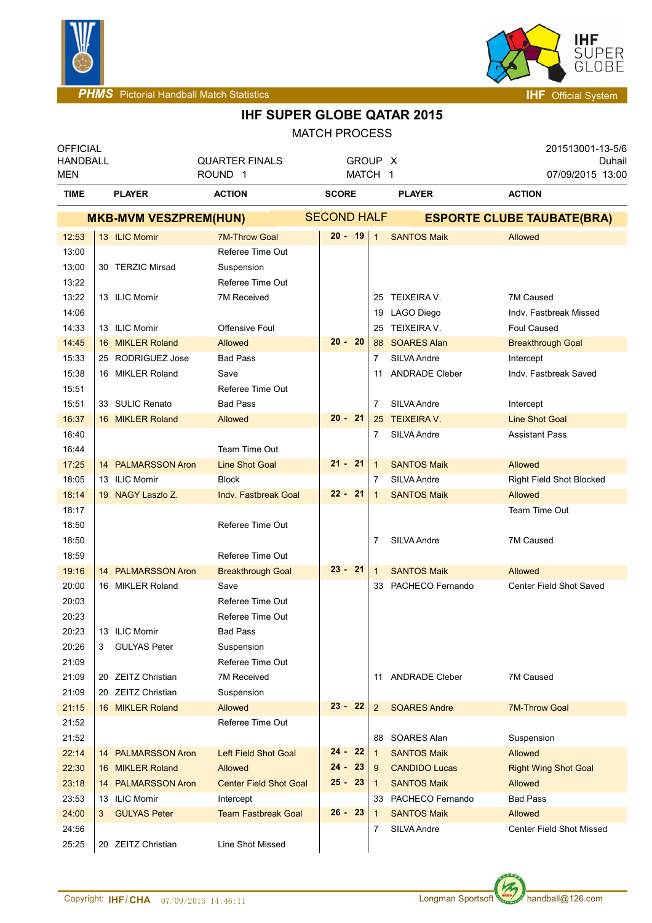



**PHMS** Pictorial Handball Match Statistics **Intervention of the Contract of Contract Automatic System of the Contract Official System of** 

# **IHF SUPER GLOBE QATAR 2015**

|                                           |   |                              |                                             | <b>MATCH PROCESS</b> |                |                                   |                                                |  |
|-------------------------------------------|---|------------------------------|---------------------------------------------|----------------------|----------------|-----------------------------------|------------------------------------------------|--|
| <b>OFFICIAL</b><br><b>HANDBALL</b><br>MEN |   |                              | <b>QUARTER FINALS</b><br>ROUND <sub>1</sub> | GROUP X<br>MATCH 1   |                |                                   | 201513001-13-5/6<br>Duhail<br>07/09/2015 13:00 |  |
| <b>TIME</b>                               |   | <b>PLAYER</b>                | <b>ACTION</b>                               | <b>SCORE</b>         |                | <b>PLAYER</b>                     | <b>ACTION</b>                                  |  |
|                                           |   | <b>MKB-MVM VESZPREM(HUN)</b> |                                             | <b>SECOND HALF</b>   |                | <b>ESPORTE CLUBE TAUBATE(BRA)</b> |                                                |  |
| 12:53                                     |   | 13 ILIC Momir                | <b>7M-Throw Goal</b>                        | $20 - 19$            | $\mathbf{1}$   | <b>SANTOS Maik</b>                | Allowed                                        |  |
| 13:00                                     |   |                              | Referee Time Out                            |                      |                |                                   |                                                |  |
| 13:00                                     |   | 30 TERZIC Mirsad             | Suspension                                  |                      |                |                                   |                                                |  |
| 13:22                                     |   |                              | Referee Time Out                            |                      |                |                                   |                                                |  |
| 13:22                                     |   | 13 ILIC Momir                | <b>7M Received</b>                          |                      | 25             | TEIXEIRA V.                       | 7M Caused                                      |  |
| 14:06                                     |   |                              |                                             |                      |                | 19 LAGO Diego                     | Indy. Fastbreak Missed                         |  |
| 14:33                                     |   | 13 ILIC Momir                | <b>Offensive Foul</b>                       |                      | 25             | TEIXEIRA V.                       | Foul Caused                                    |  |
| 14:45                                     |   | 16 MIKLER Roland             | Allowed                                     | $20 - 20$            | 88             | <b>SOARES Alan</b>                | <b>Breakthrough Goal</b>                       |  |
| 15:33                                     |   | 25 RODRIGUEZ Jose            | <b>Bad Pass</b>                             |                      | $\overline{7}$ | SILVA Andre                       | Intercept                                      |  |
| 15:38                                     |   | 16 MIKLER Roland             | Save                                        |                      | 11             | <b>ANDRADE Cleber</b>             | Indv. Fastbreak Saved                          |  |
| 15:51                                     |   |                              | Referee Time Out                            |                      |                |                                   |                                                |  |
| 15:51                                     |   | 33 SULIC Renato              | <b>Bad Pass</b>                             |                      | $\overline{7}$ | SILVA Andre                       | Intercept                                      |  |
| 16:37                                     |   | 16 MIKLER Roland             | <b>Allowed</b>                              | $20 - 21$            | 25             | <b>TEIXEIRA V.</b>                | <b>Line Shot Goal</b>                          |  |
| 16:40                                     |   |                              |                                             |                      | 7              | SILVA Andre                       | <b>Assistant Pass</b>                          |  |
| 16:44                                     |   |                              | Team Time Out                               |                      |                |                                   |                                                |  |
| 17:25                                     |   | 14 PALMARSSON Aron           | <b>Line Shot Goal</b>                       | 21 - 21              | $\mathbf{1}$   | <b>SANTOS Maik</b>                | Allowed                                        |  |
| 18:05                                     |   | 13 ILIC Momir                | <b>Block</b>                                |                      | 7              | SILVA Andre                       | Right Field Shot Blocked                       |  |
| 18:14                                     |   | 19 NAGY Laszlo Z.            | <b>Indv. Fastbreak Goal</b>                 | $22 - 21$            | $\mathbf{1}$   | <b>SANTOS Maik</b>                | Allowed                                        |  |
| 18:17                                     |   |                              |                                             |                      |                |                                   | Team Time Out                                  |  |
| 18:50                                     |   |                              | Referee Time Out                            |                      |                |                                   |                                                |  |
| 18:50                                     |   |                              |                                             |                      | 7              | SILVA Andre                       | 7M Caused                                      |  |
| 18:59                                     |   |                              | Referee Time Out                            |                      |                |                                   |                                                |  |
| 19:16                                     |   | 14 PALMARSSON Aron           | <b>Breakthrough Goal</b>                    | $23 - 21$            | $\mathbf{1}$   | <b>SANTOS Maik</b>                | Allowed                                        |  |
| 20:00                                     |   | 16 MIKLER Roland             | Save                                        |                      | 33             | PACHECO Fernando                  | Center Field Shot Saved                        |  |
| 20:03                                     |   |                              | Referee Time Out                            |                      |                |                                   |                                                |  |
| 20:23                                     |   |                              | Referee Time Out                            |                      |                |                                   |                                                |  |
| 20:23                                     |   | 13 ILIC Momir                | Bad Pass                                    |                      |                |                                   |                                                |  |
| 20:26                                     | 3 | <b>GULYAS Peter</b>          | Suspension                                  |                      |                |                                   |                                                |  |
| 21:09                                     |   |                              | Referee Time Out                            |                      |                |                                   |                                                |  |
| 21:09                                     |   | 20 ZEITZ Christian           | <b>7M Received</b>                          |                      | 11             | <b>ANDRADE Cleber</b>             | 7M Caused                                      |  |
| 21:09                                     |   | 20 ZEITZ Christian           | Suspension                                  |                      |                |                                   |                                                |  |
| 21:15                                     |   | 16 MIKLER Roland             | <b>Allowed</b>                              | $23 - 22$            | $\overline{2}$ | <b>SOARES Andre</b>               | <b>7M-Throw Goal</b>                           |  |
| 21:52                                     |   |                              | Referee Time Out                            |                      |                |                                   |                                                |  |
| 21:52                                     |   |                              |                                             |                      | 88             | SOARES Alan                       | Suspension                                     |  |
| 22:14                                     |   | 14 PALMARSSON Aron           | <b>Left Field Shot Goal</b>                 | 22<br>24 -           | $\mathbf{1}$   | <b>SANTOS Maik</b>                | Allowed                                        |  |
| 22:30                                     |   | 16 MIKLER Roland             | Allowed                                     | $24 -$<br>23         | 9              | <b>CANDIDO Lucas</b>              | <b>Right Wing Shot Goal</b>                    |  |
| 23:18                                     |   | 14 PALMARSSON Aron           | <b>Center Field Shot Goal</b>               | $25 - 23$            | $\mathbf{1}$   | <b>SANTOS Maik</b>                | Allowed                                        |  |
| 23:53                                     |   | 13 ILIC Momir                | Intercept                                   |                      | 33             | PACHECO Fernando                  | <b>Bad Pass</b>                                |  |
| 24:00                                     | 3 | <b>GULYAS Peter</b>          | <b>Team Fastbreak Goal</b>                  | $26 - 23$            | 1              | <b>SANTOS Maik</b>                | Allowed                                        |  |
| 24:56                                     |   |                              |                                             |                      | 7              | SILVA Andre                       | <b>Center Field Shot Missed</b>                |  |
| 25:25                                     |   | 20 ZEITZ Christian           | Line Shot Missed                            |                      |                |                                   |                                                |  |
|                                           |   |                              |                                             |                      |                |                                   |                                                |  |